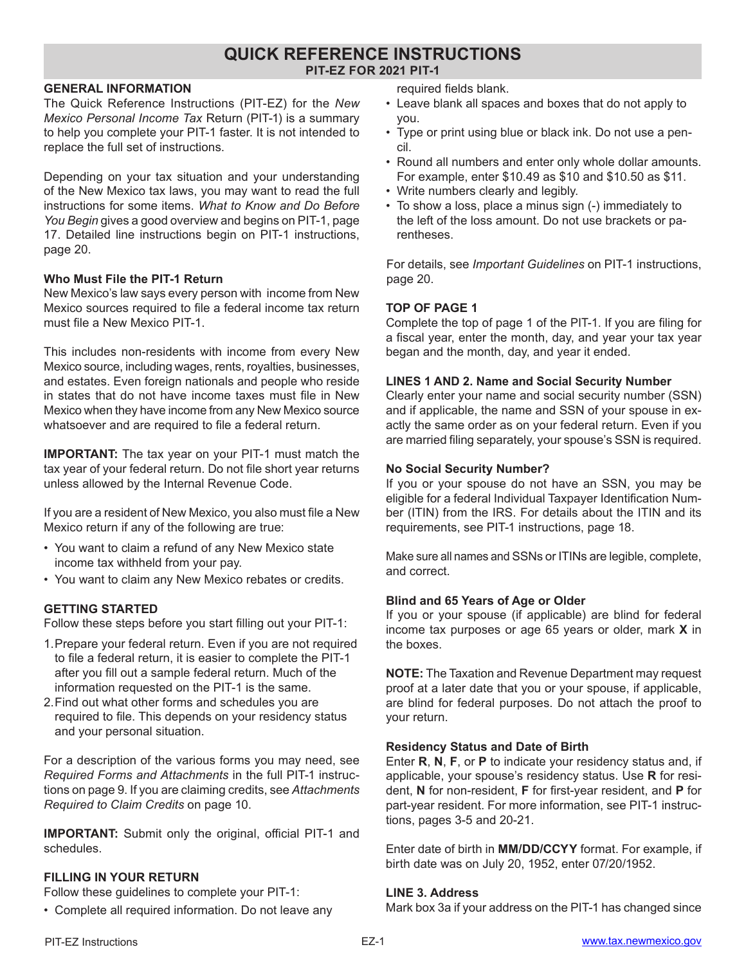# **QUICK REFERENCE INSTRUCTIONS PIT-EZ FOR 2021 PIT-1**

#### **GENERAL INFORMATION**

The Quick Reference Instructions (PIT-EZ) for the *New Mexico Personal Income Tax* Return (PIT-1) is a summary to help you complete your PIT-1 faster. It is not intended to replace the full set of instructions.

Depending on your tax situation and your understanding of the New Mexico tax laws, you may want to read the full instructions for some items. *What to Know and Do Before You Begin* gives a good overview and begins on PIT-1, page 17. Detailed line instructions begin on PIT-1 instructions, page 20.

#### **Who Must File the PIT-1 Return**

New Mexico's law says every person with income from New Mexico sources required to file a federal income tax return must file a New Mexico PIT-1.

This includes non-residents with income from every New Mexico source, including wages, rents, royalties, businesses, and estates. Even foreign nationals and people who reside in states that do not have income taxes must file in New Mexico when they have income from any New Mexico source whatsoever and are required to file a federal return.

**IMPORTANT:** The tax year on your PIT-1 must match the tax year of your federal return. Do not file short year returns unless allowed by the Internal Revenue Code.

If you are a resident of New Mexico, you also must file a New Mexico return if any of the following are true:

- You want to claim a refund of any New Mexico state income tax withheld from your pay.
- You want to claim any New Mexico rebates or credits.

# **GETTING STARTED**

Follow these steps before you start filling out your PIT-1:

- 1.Prepare your federal return. Even if you are not required to file a federal return, it is easier to complete the PIT-1 after you fill out a sample federal return. Much of the information requested on the PIT-1 is the same.
- 2.Find out what other forms and schedules you are required to file. This depends on your residency status and your personal situation.

For a description of the various forms you may need, see *Required Forms and Attachments* in the full PIT-1 instructions on page 9. If you are claiming credits, see *Attachments Required to Claim Credits* on page 10.

**IMPORTANT:** Submit only the original, official PIT-1 and schedules.

# **FILLING IN YOUR RETURN**

Follow these guidelines to complete your PIT-1:

• Complete all required information. Do not leave any

required fields blank.

- Leave blank all spaces and boxes that do not apply to you.
- Type or print using blue or black ink. Do not use a pencil.
- Round all numbers and enter only whole dollar amounts. For example, enter \$10.49 as \$10 and \$10.50 as \$11.
- Write numbers clearly and legibly.
- To show a loss, place a minus sign (-) immediately to the left of the loss amount. Do not use brackets or parentheses.

For details, see *Important Guidelines* on PIT-1 instructions, page 20.

#### **TOP OF PAGE 1**

Complete the top of page 1 of the PIT-1. If you are filing for a fiscal year, enter the month, day, and year your tax year began and the month, day, and year it ended.

#### **LINES 1 AND 2. Name and Social Security Number**

Clearly enter your name and social security number (SSN) and if applicable, the name and SSN of your spouse in exactly the same order as on your federal return. Even if you are married filing separately, your spouse's SSN is required.

#### **No Social Security Number?**

If you or your spouse do not have an SSN, you may be eligible for a federal Individual Taxpayer Identification Number (ITIN) from the IRS. For details about the ITIN and its requirements, see PIT-1 instructions, page 18.

Make sure all names and SSNs or ITINs are legible, complete, and correct.

#### **Blind and 65 Years of Age or Older**

If you or your spouse (if applicable) are blind for federal income tax purposes or age 65 years or older, mark **X** in the boxes.

**NOTE:** The Taxation and Revenue Department may request proof at a later date that you or your spouse, if applicable, are blind for federal purposes. Do not attach the proof to your return.

#### **Residency Status and Date of Birth**

Enter **R**, **N**, **F**, or **P** to indicate your residency status and, if applicable, your spouse's residency status. Use **R** for resident, **N** for non-resident, **F** for first-year resident, and **P** for part-year resident. For more information, see PIT-1 instructions, pages 3-5 and 20-21.

Enter date of birth in **MM/DD/CCYY** format. For example, if birth date was on July 20, 1952, enter 07/20/1952.

#### **LINE 3. Address**

Mark box 3a if your address on the PIT-1 has changed since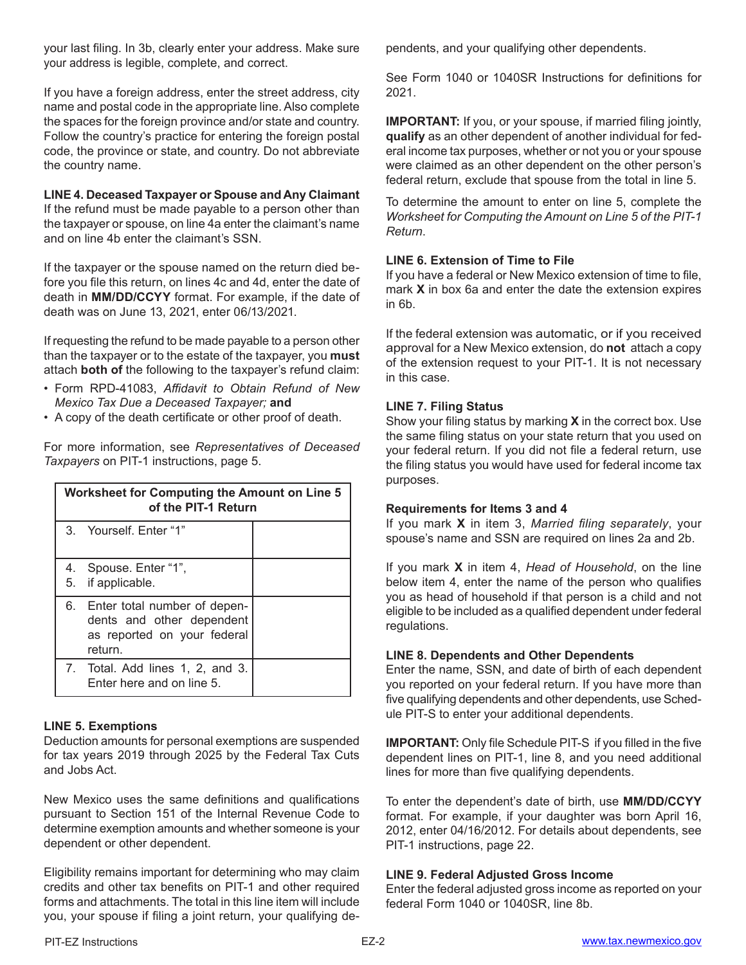your last filing. In 3b, clearly enter your address. Make sure your address is legible, complete, and correct.

If you have a foreign address, enter the street address, city name and postal code in the appropriate line. Also complete the spaces for the foreign province and/or state and country. Follow the country's practice for entering the foreign postal code, the province or state, and country. Do not abbreviate the country name.

#### **LINE 4. Deceased Taxpayer or Spouse and Any Claimant**

If the refund must be made payable to a person other than the taxpayer or spouse, on line 4a enter the claimant's name and on line 4b enter the claimant's SSN.

If the taxpayer or the spouse named on the return died before you file this return, on lines 4c and 4d, enter the date of death in **MM/DD/CCYY** format. For example, if the date of death was on June 13, 2021, enter 06/13/2021.

If requesting the refund to be made payable to a person other than the taxpayer or to the estate of the taxpayer, you **must** attach **both of** the following to the taxpayer's refund claim:

- Form RPD-41083, *Affidavit to Obtain Refund of New Mexico Tax Due a Deceased Taxpayer;* **and**
- A copy of the death certificate or other proof of death.

For more information, see *Representatives of Deceased Taxpayers* on PIT-1 instructions, page 5.

| <b>Worksheet for Computing the Amount on Line 5</b><br>of the PIT-1 Return |                                                                                                        |  |
|----------------------------------------------------------------------------|--------------------------------------------------------------------------------------------------------|--|
|                                                                            | 3. Yourself, Enter "1"                                                                                 |  |
|                                                                            | 4. Spouse. Enter "1",<br>5. if applicable.                                                             |  |
|                                                                            | 6. Enter total number of depen-<br>dents and other dependent<br>as reported on your federal<br>return. |  |
|                                                                            | 7. Total. Add lines 1, 2, and 3.<br>Enter here and on line 5.                                          |  |

# **LINE 5. Exemptions**

Deduction amounts for personal exemptions are suspended for tax years 2019 through 2025 by the Federal Tax Cuts and Jobs Act.

New Mexico uses the same definitions and qualifications pursuant to Section 151 of the Internal Revenue Code to determine exemption amounts and whether someone is your dependent or other dependent.

Eligibility remains important for determining who may claim credits and other tax benefits on PIT-1 and other required forms and attachments. The total in this line item will include you, your spouse if filing a joint return, your qualifying dependents, and your qualifying other dependents.

See Form 1040 or 1040SR Instructions for definitions for 2021.

**IMPORTANT:** If you, or your spouse, if married filing jointly, **qualify** as an other dependent of another individual for federal income tax purposes, whether or not you or your spouse were claimed as an other dependent on the other person's federal return, exclude that spouse from the total in line 5.

To determine the amount to enter on line 5, complete the *Worksheet for Computing the Amount on Line 5 of the PIT-1 Return*.

# **LINE 6. Extension of Time to File**

If you have a federal or New Mexico extension of time to file, mark **X** in box 6a and enter the date the extension expires in 6b.

If the federal extension was automatic, or if you received approval for a New Mexico extension, do **not** attach a copy of the extension request to your PIT-1. It is not necessary in this case.

# **LINE 7. Filing Status**

Show your filing status by marking **X** in the correct box. Use the same filing status on your state return that you used on your federal return. If you did not file a federal return, use the filing status you would have used for federal income tax purposes.

# **Requirements for Items 3 and 4**

If you mark **X** in item 3, *Married filing separately*, your spouse's name and SSN are required on lines 2a and 2b.

If you mark **X** in item 4, *Head of Household*, on the line below item 4, enter the name of the person who qualifies you as head of household if that person is a child and not eligible to be included as a qualified dependent under federal regulations.

# **LINE 8. Dependents and Other Dependents**

Enter the name, SSN, and date of birth of each dependent you reported on your federal return. If you have more than five qualifying dependents and other dependents, use Schedule PIT-S to enter your additional dependents.

**IMPORTANT:** Only file Schedule PIT-S if you filled in the five dependent lines on PIT-1, line 8, and you need additional lines for more than five qualifying dependents.

To enter the dependent's date of birth, use **MM/DD/CCYY** format. For example, if your daughter was born April 16, 2012, enter 04/16/2012. For details about dependents, see PIT-1 instructions, page 22.

#### **LINE 9. Federal Adjusted Gross Income**

Enter the federal adjusted gross income as reported on your federal Form 1040 or 1040SR, line 8b.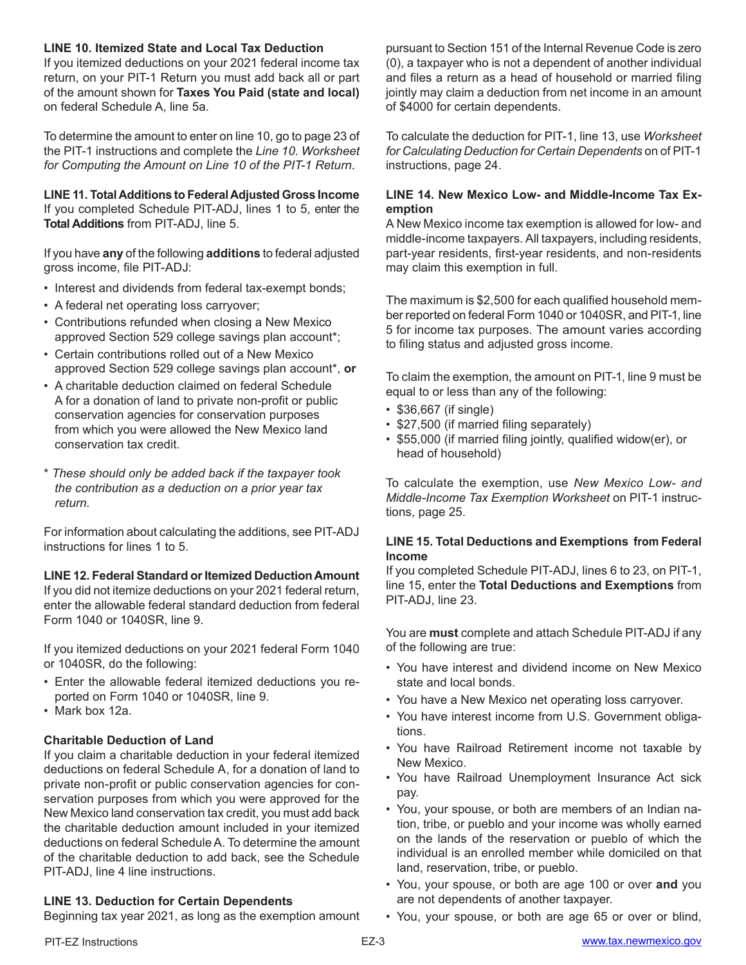### **LINE 10. Itemized State and Local Tax Deduction**

If you itemized deductions on your 2021 federal income tax return, on your PIT-1 Return you must add back all or part of the amount shown for **Taxes You Paid (state and local)** on federal Schedule A, line 5a.

To determine the amount to enter on line 10, go to page 23 of the PIT-1 instructions and complete the *Line 10. Worksheet for Computing the Amount on Line 10 of the PIT-1 Return*.

**LINE 11. Total Additions to Federal Adjusted Gross Income** If you completed Schedule PIT-ADJ, lines 1 to 5, enter the **Total Additions** from PIT-ADJ, line 5.

If you have **any** of the following **additions** to federal adjusted gross income, file PIT-ADJ:

- Interest and dividends from federal tax-exempt bonds;
- A federal net operating loss carryover;
- Contributions refunded when closing a New Mexico approved Section 529 college savings plan account\*;
- Certain contributions rolled out of a New Mexico approved Section 529 college savings plan account\*, **or**
- A charitable deduction claimed on federal Schedule A for a donation of land to private non-profit or public conservation agencies for conservation purposes from which you were allowed the New Mexico land conservation tax credit.
- \* *These should only be added back if the taxpayer took the contribution as a deduction on a prior year tax return.*

For information about calculating the additions, see PIT-ADJ instructions for lines 1 to 5.

**LINE 12. Federal Standard or Itemized Deduction Amount** If you did not itemize deductions on your 2021 federal return, enter the allowable federal standard deduction from federal Form 1040 or 1040SR, line 9.

If you itemized deductions on your 2021 federal Form 1040 or 1040SR, do the following:

- Enter the allowable federal itemized deductions you reported on Form 1040 or 1040SR, line 9.
- Mark box 12a.

# **Charitable Deduction of Land**

If you claim a charitable deduction in your federal itemized deductions on federal Schedule A, for a donation of land to private non-profit or public conservation agencies for conservation purposes from which you were approved for the New Mexico land conservation tax credit, you must add back the charitable deduction amount included in your itemized deductions on federal Schedule A. To determine the amount of the charitable deduction to add back, see the Schedule PIT-ADJ, line 4 line instructions.

# **LINE 13. Deduction for Certain Dependents**

Beginning tax year 2021, as long as the exemption amount

pursuant to Section 151 of the Internal Revenue Code is zero (0), a taxpayer who is not a dependent of another individual and files a return as a head of household or married filing jointly may claim a deduction from net income in an amount of \$4000 for certain dependents.

To calculate the deduction for PIT-1, line 13, use *Worksheet for Calculating Deduction for Certain Dependents* on of PIT-1 instructions, page 24.

# **LINE 14. New Mexico Low- and Middle-Income Tax Exemption**

A New Mexico income tax exemption is allowed for low- and middle-income taxpayers. All taxpayers, including residents, part-year residents, first-year residents, and non-residents may claim this exemption in full.

The maximum is \$2,500 for each qualified household member reported on federal Form 1040 or 1040SR, and PIT-1, line 5 for income tax purposes. The amount varies according to filing status and adjusted gross income.

To claim the exemption, the amount on PIT-1, line 9 must be equal to or less than any of the following:

- \$36,667 (if single)
- \$27,500 (if married filing separately)
- \$55,000 (if married filing jointly, qualified widow(er), or head of household)

To calculate the exemption, use *New Mexico Low- and Middle-Income Tax Exemption Worksheet* on PIT-1 instructions, page 25.

#### **LINE 15. Total Deductions and Exemptions from Federal Income**

If you completed Schedule PIT-ADJ, lines 6 to 23, on PIT-1, line 15, enter the **Total Deductions and Exemptions** from PIT-ADJ, line 23.

You are **must** complete and attach Schedule PIT-ADJ if any of the following are true:

- You have interest and dividend income on New Mexico state and local bonds.
- You have a New Mexico net operating loss carryover.
- You have interest income from U.S. Government obligations.
- You have Railroad Retirement income not taxable by New Mexico.
- You have Railroad Unemployment Insurance Act sick pay.
- You, your spouse, or both are members of an Indian nation, tribe, or pueblo and your income was wholly earned on the lands of the reservation or pueblo of which the individual is an enrolled member while domiciled on that land, reservation, tribe, or pueblo.
- You, your spouse, or both are age 100 or over **and** you are not dependents of another taxpayer.
- You, your spouse, or both are age 65 or over or blind,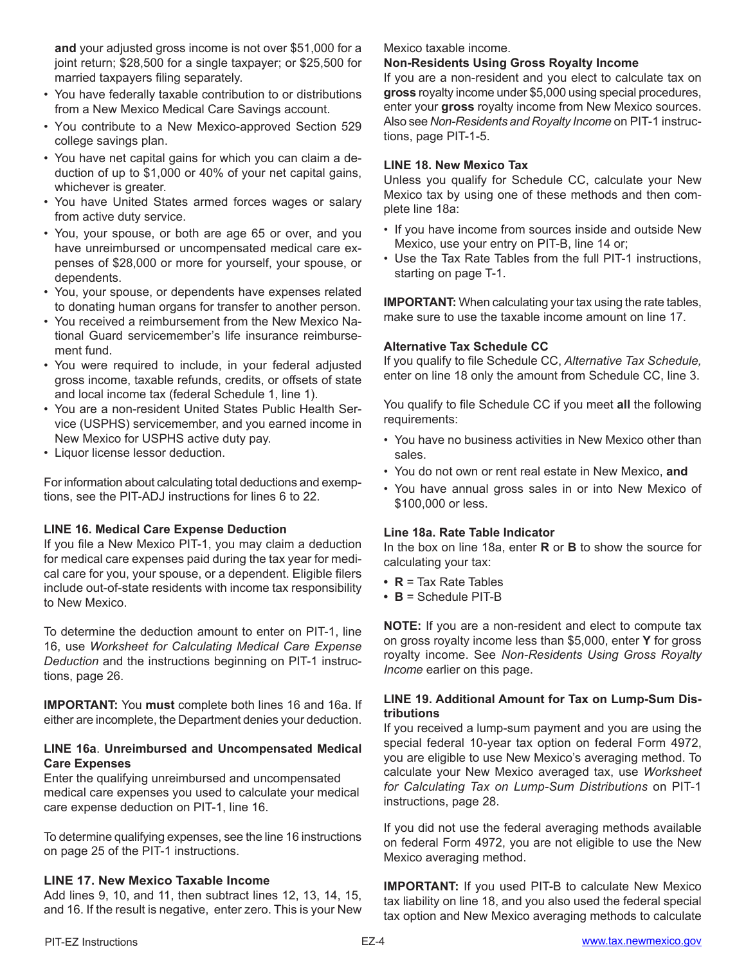**and** your adjusted gross income is not over \$51,000 for a joint return; \$28,500 for a single taxpayer; or \$25,500 for married taxpayers filing separately.

- You have federally taxable contribution to or distributions from a New Mexico Medical Care Savings account.
- You contribute to a New Mexico-approved Section 529 college savings plan.
- You have net capital gains for which you can claim a deduction of up to \$1,000 or 40% of your net capital gains, whichever is greater.
- You have United States armed forces wages or salary from active duty service.
- You, your spouse, or both are age 65 or over, and you have unreimbursed or uncompensated medical care expenses of \$28,000 or more for yourself, your spouse, or dependents.
- You, your spouse, or dependents have expenses related to donating human organs for transfer to another person.
- You received a reimbursement from the New Mexico National Guard servicemember's life insurance reimbursement fund.
- You were required to include, in your federal adjusted gross income, taxable refunds, credits, or offsets of state and local income tax (federal Schedule 1, line 1).
- You are a non-resident United States Public Health Service (USPHS) servicemember, and you earned income in New Mexico for USPHS active duty pay.
- Liquor license lessor deduction.

For information about calculating total deductions and exemptions, see the PIT-ADJ instructions for lines 6 to 22.

# **LINE 16. Medical Care Expense Deduction**

If you file a New Mexico PIT-1, you may claim a deduction for medical care expenses paid during the tax year for medical care for you, your spouse, or a dependent. Eligible filers include out-of-state residents with income tax responsibility to New Mexico.

To determine the deduction amount to enter on PIT-1, line 16, use *Worksheet for Calculating Medical Care Expense Deduction* and the instructions beginning on PIT-1 instructions, page 26.

**IMPORTANT:** You **must** complete both lines 16 and 16a. If either are incomplete, the Department denies your deduction.

# **LINE 16a**. **Unreimbursed and Uncompensated Medical Care Expenses**

Enter the qualifying unreimbursed and uncompensated medical care expenses you used to calculate your medical care expense deduction on PIT-1, line 16.

To determine qualifying expenses, see the line 16 instructions on page 25 of the PIT-1 instructions.

# **LINE 17. New Mexico Taxable Income**

Add lines 9, 10, and 11, then subtract lines 12, 13, 14, 15, and 16. If the result is negative, enter zero. This is your New

#### Mexico taxable income.

# **Non-Residents Using Gross Royalty Income**

If you are a non-resident and you elect to calculate tax on **gross** royalty income under \$5,000 using special procedures, enter your **gross** royalty income from New Mexico sources. Also see *Non-Residents and Royalty Income* on PIT-1 instructions, page PIT-1-5.

# **LINE 18. New Mexico Tax**

Unless you qualify for Schedule CC, calculate your New Mexico tax by using one of these methods and then complete line 18a:

- If you have income from sources inside and outside New Mexico, use your entry on PIT-B, line 14 or;
- Use the Tax Rate Tables from the full PIT-1 instructions, starting on page T-1.

**IMPORTANT:** When calculating your tax using the rate tables, make sure to use the taxable income amount on line 17.

# **Alternative Tax Schedule CC**

If you qualify to file Schedule CC, *Alternative Tax Schedule,* enter on line 18 only the amount from Schedule CC, line 3.

You qualify to file Schedule CC if you meet **all** the following requirements:

- You have no business activities in New Mexico other than sales.
- You do not own or rent real estate in New Mexico, **and**
- You have annual gross sales in or into New Mexico of \$100,000 or less.

# **Line 18a. Rate Table Indicator**

In the box on line 18a, enter **R** or **B** to show the source for calculating your tax:

- **• R** = Tax Rate Tables
- **• B** = Schedule PIT-B

**NOTE:** If you are a non-resident and elect to compute tax on gross royalty income less than \$5,000, enter **Y** for gross royalty income. See *Non-Residents Using Gross Royalty Income* earlier on this page.

# **LINE 19. Additional Amount for Tax on Lump-Sum Distributions**

If you received a lump-sum payment and you are using the special federal 10-year tax option on federal Form 4972, you are eligible to use New Mexico's averaging method. To calculate your New Mexico averaged tax, use *Worksheet for Calculating Tax on Lump-Sum Distributions* on PIT-1 instructions, page 28.

If you did not use the federal averaging methods available on federal Form 4972, you are not eligible to use the New Mexico averaging method.

**IMPORTANT:** If you used PIT-B to calculate New Mexico tax liability on line 18, and you also used the federal special tax option and New Mexico averaging methods to calculate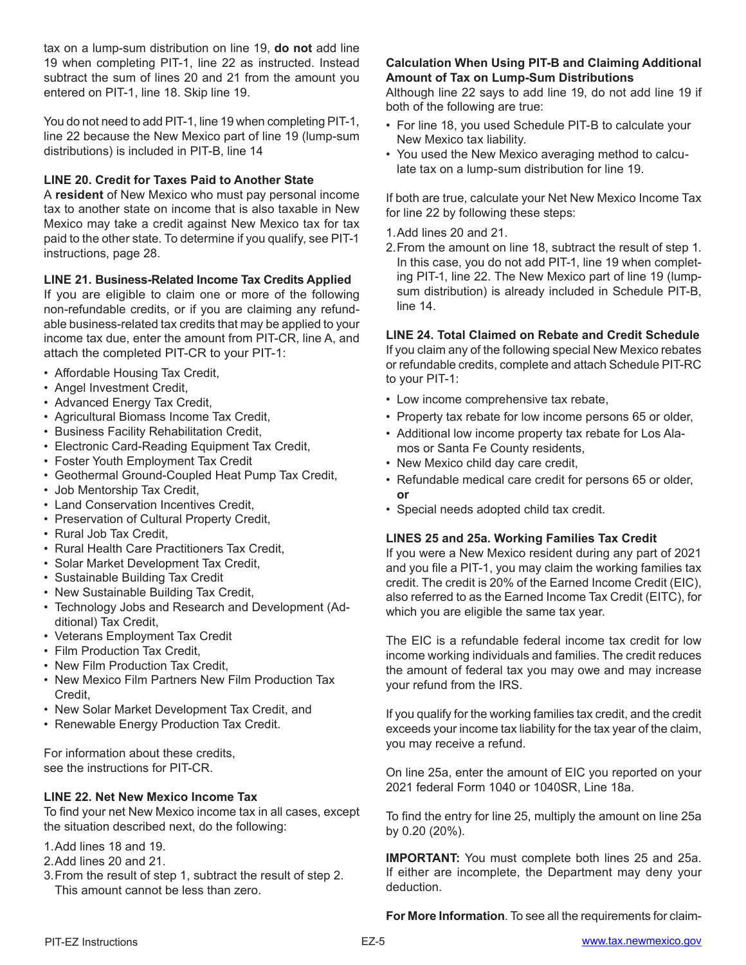tax on a lump-sum distribution on line 19, **do not** add line 19 when completing PIT-1, line 22 as instructed. Instead subtract the sum of lines 20 and 21 from the amount you entered on PIT-1, line 18. Skip line 19.

You do not need to add PIT-1, line 19 when completing PIT-1, line 22 because the New Mexico part of line 19 (lump-sum distributions) is included in PIT-B, line 14

### **LINE 20. Credit for Taxes Paid to Another State**

A **resident** of New Mexico who must pay personal income tax to another state on income that is also taxable in New Mexico may take a credit against New Mexico tax for tax paid to the other state. To determine if you qualify, see PIT-1 instructions, page 28.

#### **LINE 21. Business-Related Income Tax Credits Applied**

If you are eligible to claim one or more of the following non-refundable credits, or if you are claiming any refundable business-related tax credits that may be applied to your income tax due, enter the amount from PIT-CR, line A, and attach the completed PIT-CR to your PIT-1:

- Affordable Housing Tax Credit,
- Angel Investment Credit,
- Advanced Energy Tax Credit,
- Agricultural Biomass Income Tax Credit,
- Business Facility Rehabilitation Credit,
- Electronic Card-Reading Equipment Tax Credit,
- Foster Youth Employment Tax Credit
- Geothermal Ground-Coupled Heat Pump Tax Credit,
- Job Mentorship Tax Credit,
- Land Conservation Incentives Credit,
- Preservation of Cultural Property Credit,
- Rural Job Tax Credit,
- Rural Health Care Practitioners Tax Credit,
- Solar Market Development Tax Credit,
- Sustainable Building Tax Credit
- New Sustainable Building Tax Credit,
- Technology Jobs and Research and Development (Additional) Tax Credit,
- Veterans Employment Tax Credit
- Film Production Tax Credit,
- New Film Production Tax Credit,
- New Mexico Film Partners New Film Production Tax Credit,
- New Solar Market Development Tax Credit, and
- Renewable Energy Production Tax Credit.

For information about these credits, see the instructions for PIT-CR.

# **LINE 22. Net New Mexico Income Tax**

To find your net New Mexico income tax in all cases, except the situation described next, do the following:

- 1.Add lines 18 and 19.
- 2.Add lines 20 and 21.
- 3.From the result of step 1, subtract the result of step 2. This amount cannot be less than zero.

# **Calculation When Using PIT-B and Claiming Additional Amount of Tax on Lump-Sum Distributions**

Although line 22 says to add line 19, do not add line 19 if both of the following are true:

- For line 18, you used Schedule PIT-B to calculate your New Mexico tax liability.
- You used the New Mexico averaging method to calculate tax on a lump-sum distribution for line 19.

If both are true, calculate your Net New Mexico Income Tax for line 22 by following these steps:

# 1.Add lines 20 and 21.

2.From the amount on line 18, subtract the result of step 1. In this case, you do not add PIT-1, line 19 when completing PIT-1, line 22. The New Mexico part of line 19 (lumpsum distribution) is already included in Schedule PIT-B, line 14.

# **LINE 24. Total Claimed on Rebate and Credit Schedule**

If you claim any of the following special New Mexico rebates or refundable credits, complete and attach Schedule PIT-RC to your PIT-1:

- Low income comprehensive tax rebate,
- Property tax rebate for low income persons 65 or older,
- Additional low income property tax rebate for Los Alamos or Santa Fe County residents,
- New Mexico child day care credit,
- Refundable medical care credit for persons 65 or older, **or**
- Special needs adopted child tax credit.

#### **LINES 25 and 25a. Working Families Tax Credit**

If you were a New Mexico resident during any part of 2021 and you file a PIT-1, you may claim the working families tax credit. The credit is 20% of the Earned Income Credit (EIC), also referred to as the Earned Income Tax Credit (EITC), for which you are eligible the same tax year.

The EIC is a refundable federal income tax credit for low income working individuals and families. The credit reduces the amount of federal tax you may owe and may increase your refund from the IRS.

If you qualify for the working families tax credit, and the credit exceeds your income tax liability for the tax year of the claim, you may receive a refund.

On line 25a, enter the amount of EIC you reported on your 2021 federal Form 1040 or 1040SR, Line 18a.

To find the entry for line 25, multiply the amount on line 25a by 0.20 (20%).

**IMPORTANT:** You must complete both lines 25 and 25a. If either are incomplete, the Department may deny your deduction.

**For More Information**. To see all the requirements for claim-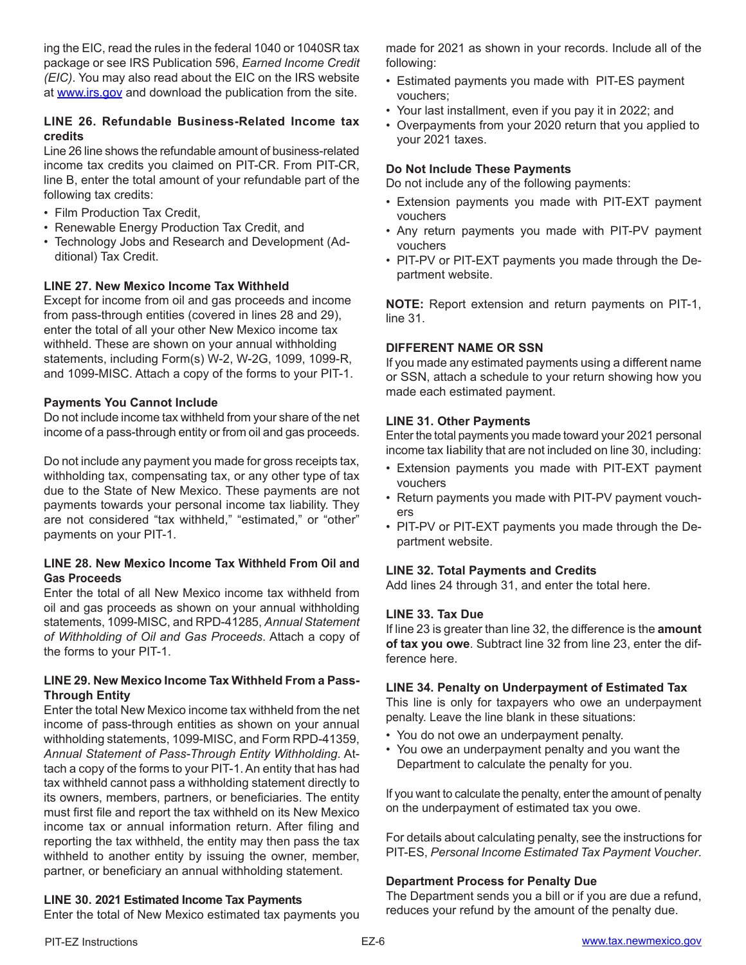ing the EIC, read the rules in the federal 1040 or 1040SR tax package or see IRS Publication 596, *Earned Income Credit (EIC)*. You may also read about the EIC on the IRS website at www.irs.gov and download the publication from the site.

# **LINE 26. Refundable Business-Related Income tax credits**

Line 26 line shows the refundable amount of business-related income tax credits you claimed on PIT-CR. From PIT-CR, line B, enter the total amount of your refundable part of the following tax credits:

- Film Production Tax Credit,
- Renewable Energy Production Tax Credit, and
- Technology Jobs and Research and Development (Additional) Tax Credit.

# **LINE 27. New Mexico Income Tax Withheld**

Except for income from oil and gas proceeds and income from pass-through entities (covered in lines 28 and 29), enter the total of all your other New Mexico income tax withheld. These are shown on your annual withholding statements, including Form(s) W-2, W-2G, 1099, 1099-R, and 1099-MISC. Attach a copy of the forms to your PIT-1.

#### **Payments You Cannot Include**

Do not include income tax withheld from your share of the net income of a pass-through entity or from oil and gas proceeds.

Do not include any payment you made for gross receipts tax, withholding tax, compensating tax, or any other type of tax due to the State of New Mexico. These payments are not payments towards your personal income tax liability. They are not considered "tax withheld," "estimated," or "other" payments on your PIT-1.

#### **LINE 28. New Mexico Income Tax Withheld From Oil and Gas Proceeds**

Enter the total of all New Mexico income tax withheld from oil and gas proceeds as shown on your annual withholding statements, 1099-MISC, and RPD-41285, *Annual Statement of Withholding of Oil and Gas Proceeds*. Attach a copy of the forms to your PIT-1.

#### **LINE 29. New Mexico Income Tax Withheld From a Pass-Through Entity**

Enter the total New Mexico income tax withheld from the net income of pass-through entities as shown on your annual withholding statements, 1099-MISC, and Form RPD-41359, *Annual Statement of Pass-Through Entity Withholding*. Attach a copy of the forms to your PIT-1. An entity that has had tax withheld cannot pass a withholding statement directly to its owners, members, partners, or beneficiaries. The entity must first file and report the tax withheld on its New Mexico income tax or annual information return. After filing and reporting the tax withheld, the entity may then pass the tax withheld to another entity by issuing the owner, member, partner, or beneficiary an annual withholding statement.

# **LINE 30. 2021 Estimated Income Tax Payments**

Enter the total of New Mexico estimated tax payments you

made for 2021 as shown in your records. Include all of the following:

- Estimated payments you made with PIT-ES payment vouchers;
- Your last installment, even if you pay it in 2022; and
- Overpayments from your 2020 return that you applied to your 2021 taxes.

#### **Do Not Include These Payments**

Do not include any of the following payments:

- Extension payments you made with PIT-EXT payment vouchers
- Any return payments you made with PIT-PV payment vouchers
- PIT-PV or PIT-EXT payments you made through the Department website.

**NOTE:** Report extension and return payments on PIT-1, line 31.

#### **DIFFERENT NAME OR SSN**

If you made any estimated payments using a different name or SSN, attach a schedule to your return showing how you made each estimated payment.

#### **LINE 31. Other Payments**

Enter the total payments you made toward your 2021 personal income tax liability that are not included on line 30, including:

- Extension payments you made with PIT-EXT payment vouchers
- Return payments you made with PIT-PV payment vouchers
- PIT-PV or PIT-EXT payments you made through the Department website.

# **LINE 32. Total Payments and Credits**

Add lines 24 through 31, and enter the total here.

#### **LINE 33. Tax Due**

If line 23 is greater than line 32, the difference is the **amount of tax you owe**. Subtract line 32 from line 23, enter the difference here.

#### **LINE 34. Penalty on Underpayment of Estimated Tax**

This line is only for taxpayers who owe an underpayment penalty. Leave the line blank in these situations:

- You do not owe an underpayment penalty.
- You owe an underpayment penalty and you want the Department to calculate the penalty for you.

If you want to calculate the penalty, enter the amount of penalty on the underpayment of estimated tax you owe.

For details about calculating penalty, see the instructions for PIT-ES, *Personal Income Estimated Tax Payment Voucher*.

# **Department Process for Penalty Due**

The Department sends you a bill or if you are due a refund, reduces your refund by the amount of the penalty due.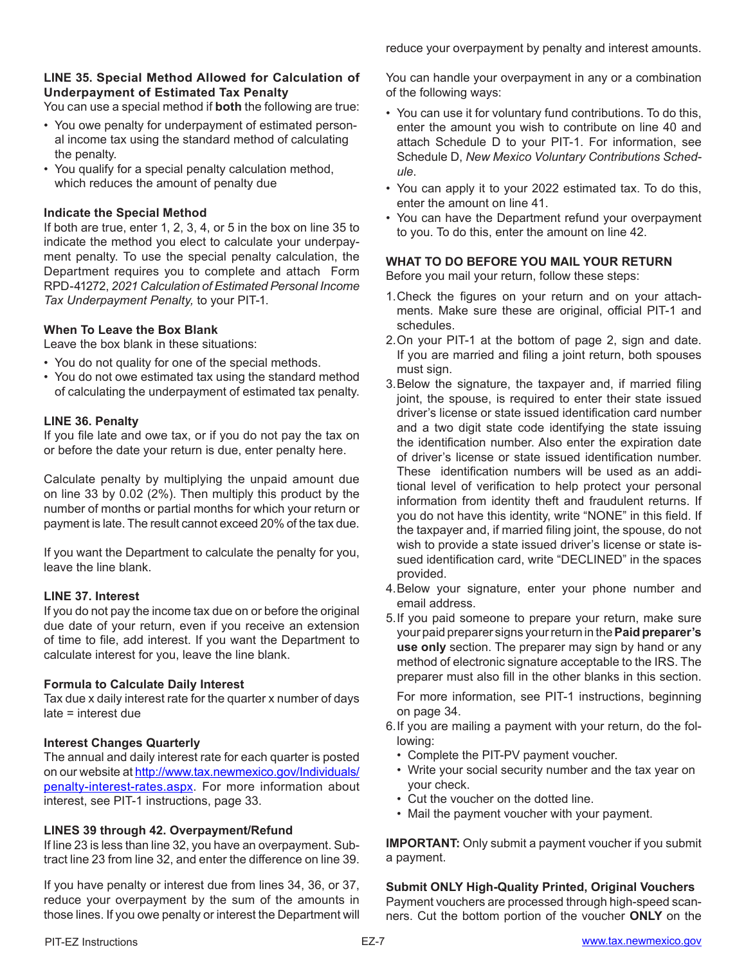reduce your overpayment by penalty and interest amounts.

# **LINE 35. Special Method Allowed for Calculation of Underpayment of Estimated Tax Penalty**

You can use a special method if **both** the following are true:

- You owe penalty for underpayment of estimated personal income tax using the standard method of calculating the penalty.
- You qualify for a special penalty calculation method, which reduces the amount of penalty due

# **Indicate the Special Method**

If both are true, enter 1, 2, 3, 4, or 5 in the box on line 35 to indicate the method you elect to calculate your underpayment penalty. To use the special penalty calculation, the Department requires you to complete and attach Form RPD-41272, *2021 Calculation of Estimated Personal Income Tax Underpayment Penalty,* to your PIT-1.

# **When To Leave the Box Blank**

Leave the box blank in these situations:

- You do not quality for one of the special methods.
- You do not owe estimated tax using the standard method of calculating the underpayment of estimated tax penalty.

#### **LINE 36. Penalty**

If you file late and owe tax, or if you do not pay the tax on or before the date your return is due, enter penalty here.

Calculate penalty by multiplying the unpaid amount due on line 33 by 0.02 (2%). Then multiply this product by the number of months or partial months for which your return or payment is late. The result cannot exceed 20% of the tax due.

If you want the Department to calculate the penalty for you, leave the line blank.

# **LINE 37. Interest**

If you do not pay the income tax due on or before the original due date of your return, even if you receive an extension of time to file, add interest. If you want the Department to calculate interest for you, leave the line blank.

#### **Formula to Calculate Daily Interest**

Tax due x daily interest rate for the quarter x number of days late = interest due

# **Interest Changes Quarterly**

The annual and daily interest rate for each quarter is posted on our website at http://www.tax.newmexico.gov/Individuals/ penalty-interest-rates.aspx. For more information about interest, see PIT-1 instructions, page 33.

# **LINES 39 through 42. Overpayment/Refund**

If line 23 is less than line 32, you have an overpayment. Subtract line 23 from line 32, and enter the difference on line 39.

If you have penalty or interest due from lines 34, 36, or 37, reduce your overpayment by the sum of the amounts in those lines. If you owe penalty or interest the Department will

- You can use it for voluntary fund contributions. To do this, enter the amount you wish to contribute on line 40 and attach Schedule D to your PIT-1. For information, see Schedule D, *New Mexico Voluntary Contributions Schedule*.
- You can apply it to your 2022 estimated tax. To do this, enter the amount on line 41.
- You can have the Department refund your overpayment to you. To do this, enter the amount on line 42.

# **WHAT TO DO BEFORE YOU MAIL YOUR RETURN**

Before you mail your return, follow these steps:

- 1.Check the figures on your return and on your attachments. Make sure these are original, official PIT-1 and schedules.
- 2.On your PIT-1 at the bottom of page 2, sign and date. If you are married and filing a joint return, both spouses must sign.
- 3.Below the signature, the taxpayer and, if married filing joint, the spouse, is required to enter their state issued driver's license or state issued identification card number and a two digit state code identifying the state issuing the identification number. Also enter the expiration date of driver's license or state issued identification number. These identification numbers will be used as an additional level of verification to help protect your personal information from identity theft and fraudulent returns. If you do not have this identity, write "NONE" in this field. If the taxpayer and, if married filing joint, the spouse, do not wish to provide a state issued driver's license or state issued identification card, write "DECLINED" in the spaces provided.
- 4.Below your signature, enter your phone number and email address.
- 5.If you paid someone to prepare your return, make sure your paid preparer signs your return in the **Paid preparer's use only** section. The preparer may sign by hand or any method of electronic signature acceptable to the IRS. The preparer must also fill in the other blanks in this section.

For more information, see PIT-1 instructions, beginning on page 34.

- 6.If you are mailing a payment with your return, do the following:
	- Complete the PIT-PV payment voucher.
	- Write your social security number and the tax year on your check.
	- Cut the voucher on the dotted line.
	- Mail the payment voucher with your payment.

**IMPORTANT:** Only submit a payment voucher if you submit a payment.

**Submit ONLY High-Quality Printed, Original Vouchers** Payment vouchers are processed through high-speed scanners. Cut the bottom portion of the voucher **ONLY** on the